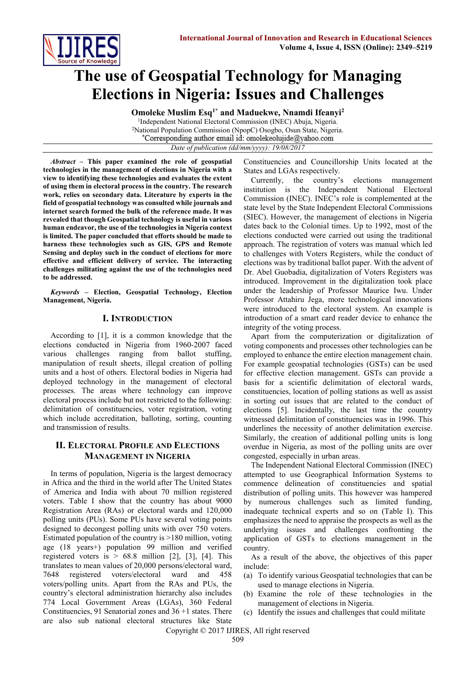

# **The use of Geospatial Technology for Managing Elections in Nigeria: Issues and Challenges**

**Omoleke Muslim Esq1\* and Maduekwe, Nnamdi Ifeanyi<sup>2</sup>**

<sup>1</sup>Independent National Electoral Commission (INEC) Abuja, Nigeria. <sup>2</sup>National Population Commission (NpopC) Osogbo, Osun State, Nigeria. \*Corresponding author email id: omolekeolujide@yahoo.com

*Date of publication (dd/mm/yyyy): 19/08/2017*

*Abstract* **– This paper examined the role of geospatial technologies in the management of elections in Nigeria with a view to identifying these technologies and evaluates the extent of using them in electoral process in the country. The research work, relies on secondary data. Literature by experts in the field of geospatial technology was consulted while journals and internet search formed the bulk of the reference made. It was revealed that though Geospatial technology is useful in various human endeavor, the use of the technologies in Nigeria context is limited. The paper concluded that efforts should be made to harness these technologies such as GIS, GPS and Remote Sensing and deploy such in the conduct of elections for more effective and efficient delivery of service. The interacting challenges militating against the use of the technologies need to be addressed.**

*Keywords* **– Election, Geospatial Technology, Election Management, Nigeria.**

# **I. INTRODUCTION**

According to [1], it is a common knowledge that the elections conducted in Nigeria from 1960-2007 faced various challenges ranging from ballot stuffing, manipulation of result sheets, illegal creation of polling units and a host of others. Electoral bodies in Nigeria had deployed technology in the management of electoral processes. The areas where technology can improve electoral process include but not restricted to the following: delimitation of constituencies, voter registration, voting which include accreditation, balloting, sorting, counting and transmission of results.

# **II. ELECTORAL PROFILE AND ELECTIONS MANAGEMENT IN NIGERIA**

In terms of population, Nigeria is the largest democracy in Africa and the third in the world after The United States of America and India with about 70 million registered voters. Table I show that the country has about 9000 Registration Area (RAs) or electoral wards and 120,000 polling units (PUs). Some PUs have several voting points designed to decongest polling units with over 750 voters. Estimated population of the country is >180 million, voting age (18 years+) population 99 million and verified registered voters is  $> 68.8$  million [2], [3], [4]. This translates to mean values of 20,000 persons/electoral ward, 7648 registered voters/electoral ward and 458 voters/polling units. Apart from the RAs and PUs, the country's electoral administration hierarchy also includes 774 Local Government Areas (LGAs), 360 Federal Constituencies, 91 Senatorial zones and 36 +1 states. There are also sub national electoral structures like State Constituencies and Councillorship Units located at the States and LGAs respectively.

Currently, the country's elections management institution is the Independent National Electoral Commission (INEC). INEC's role is complemented at the state level by the State Independent Electoral Commissions (SIEC). However, the management of elections in Nigeria dates back to the Colonial times. Up to 1992, most of the elections conducted were carried out using the traditional approach. The registration of voters was manual which led to challenges with Voters Registers, while the conduct of elections was by traditional ballot paper. With the advent of Dr. Abel Guobadia, digitalization of Voters Registers was introduced. Improvement in the digitalization took place under the leadership of Professor Maurice Iwu. Under Professor Attahiru Jega, more technological innovations were introduced to the electoral system. An example is introduction of a smart card reader device to enhance the integrity of the voting process.

Apart from the computerization or digitalization of voting components and processes other technologies can be employed to enhance the entire election management chain. For example geospatial technologies (GSTs) can be used for effective election management. GSTs can provide a basis for a scientific delimitation of electoral wards, constituencies, location of polling stations as well as assist in sorting out issues that are related to the conduct of elections [5]. Incidentally, the last time the country witnessed delimitation of constituencies was in 1996. This underlines the necessity of another delimitation exercise. Similarly, the creation of additional polling units is long overdue in Nigeria, as most of the polling units are over congested, especially in urban areas.

The Independent National Electoral Commission (INEC) attempted to use Geographical Information Systems to commence delineation of constituencies and spatial distribution of polling units. This however was hampered by numerous challenges such as limited funding, inadequate technical experts and so on (Table I). This emphasizes the need to appraise the prospects as well as the underlying issues and challenges confronting the application of GSTs to elections management in the country.

As a result of the above, the objectives of this paper include:

- (a) To identify various Geospatial technologies that can be used to manage elections in Nigeria.
- (b) Examine the role of these technologies in the management of elections in Nigeria.
- (c) Identify the issues and challenges that could militate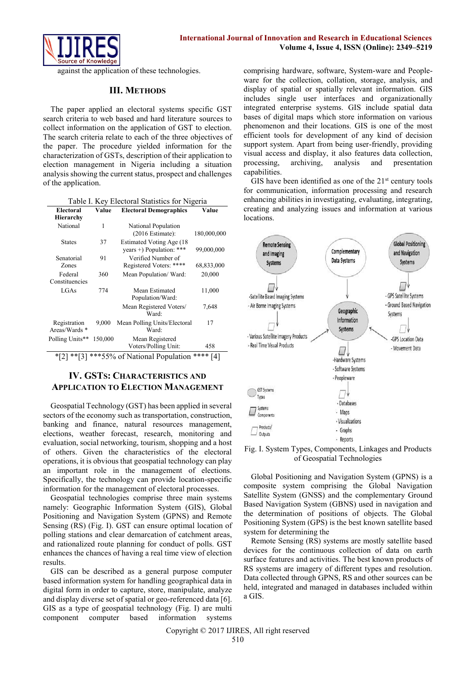

against the application of these technologies.

### **III. METHODS**

The paper applied an electoral systems specific GST search criteria to web based and hard literature sources to collect information on the application of GST to election. The search criteria relate to each of the three objectives of the paper. The procedure yielded information for the characterization of GSTs, description of their application to election management in Nigeria including a situation analysis showing the current status, prospect and challenges of the application.

| <b>Electoral</b><br><b>Hierarchy</b>              | Value   | <b>Electoral Demographics</b>                         | Value       |  |  |
|---------------------------------------------------|---------|-------------------------------------------------------|-------------|--|--|
| National                                          | 1       | National Population<br>$(2016)$ Estimate):            | 180,000,000 |  |  |
| <b>States</b>                                     | 37      | Estimated Voting Age (18)<br>years +) Population: *** | 99,000,000  |  |  |
| Senatorial<br>Zones                               | 91      | Verified Number of<br>Registered Voters: ****         | 68,833,000  |  |  |
| Federal<br>Constituencies                         | 360     | Mean Population/Ward:                                 | 20,000      |  |  |
| LGAs                                              | 774     | Mean Estimated<br>Population/Ward:                    | 11,000      |  |  |
|                                                   |         | Mean Registered Voters/<br>Ward:                      | 7,648       |  |  |
| Registration<br>Areas/Wards *                     | 9,000   | Mean Polling Units/Electoral<br>Ward:                 | 17          |  |  |
| Polling Units**                                   | 150,000 | Mean Registered<br>Voters/Polling Unit:               | 458         |  |  |
| ****<br>***55% of National Population<br>*۱<br>41 |         |                                                       |             |  |  |

## **IV. GSTS: CHARACTERISTICS AND APPLICATION TO ELECTION MANAGEMENT**

Geospatial Technology (GST) has been applied in several sectors of the economy such as transportation, construction, banking and finance, natural resources management, elections, weather forecast, research, monitoring and evaluation, social networking, tourism, shopping and a host of others. Given the characteristics of the electoral operations, it is obvious that geospatial technology can play an important role in the management of elections. Specifically, the technology can provide location-specific information for the management of electoral processes.

Geospatial technologies comprise three main systems namely: Geographic Information System (GIS), Global Positioning and Navigation System (GPNS) and Remote Sensing (RS) (Fig. I). GST can ensure optimal location of polling stations and clear demarcation of catchment areas, and rationalized route planning for conduct of polls. GST enhances the chances of having a real time view of election results.

GIS can be described as a general purpose computer based information system for handling geographical data in digital form in order to capture, store, manipulate, analyze and display diverse set of spatial or geo-referenced data [6]. GIS as a type of geospatial technology (Fig. I) are multi component computer based information systems comprising hardware, software, System-ware and Peopleware for the collection, collation, storage, analysis, and display of spatial or spatially relevant information. GIS includes single user interfaces and organizationally integrated enterprise systems. GIS include spatial data bases of digital maps which store information on various phenomenon and their locations. GIS is one of the most efficient tools for development of any kind of decision support system. Apart from being user-friendly, providing visual access and display, it also features data collection, processing, archiving, analysis and presentation capabilities.

GIS have been identified as one of the  $21<sup>st</sup>$  century tools for communication, information processing and research enhancing abilities in investigating, evaluating, integrating, creating and analyzing issues and information at various locations.



Fig. I. System Types, Components, Linkages and Products of Geospatial Technologies

Global Positioning and Navigation System (GPNS) is a composite system comprising the Global Navigation Satellite System (GNSS) and the complementary Ground Based Navigation System (GBNS) used in navigation and the determination of positions of objects. The Global Positioning System (GPS) is the best known satellite based system for determining the

Remote Sensing (RS) systems are mostly satellite based devices for the continuous collection of data on earth surface features and activities. The best known products of RS systems are imagery of different types and resolution. Data collected through GPNS, RS and other sources can be held, integrated and managed in databases included within a GIS.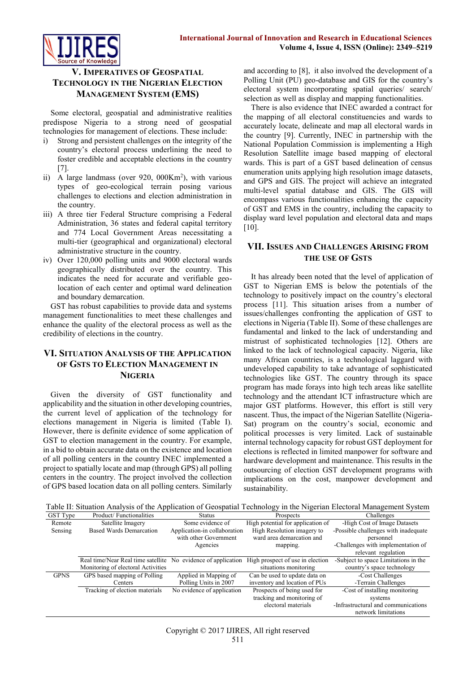

**V. IMPERATIVES OF GEOSPATIAL TECHNOLOGY IN THE NIGERIAN ELECTION MANAGEMENT SYSTEM (EMS)**

Some electoral, geospatial and administrative realities predispose Nigeria to a strong need of geospatial technologies for management of elections. These include:

- i) Strong and persistent challenges on the integrity of the country's electoral process underlining the need to foster credible and acceptable elections in the country [7].
- ii) A large landmass (over 920, 000Km<sup>2</sup>), with various types of geo-ecological terrain posing various challenges to elections and election administration in the country.
- iii) A three tier Federal Structure comprising a Federal Administration, 36 states and federal capital territory and 774 Local Government Areas necessitating a multi-tier (geographical and organizational) electoral administrative structure in the country.
- iv) Over 120,000 polling units and 9000 electoral wards geographically distributed over the country. This indicates the need for accurate and verifiable geolocation of each center and optimal ward delineation and boundary demarcation.

GST has robust capabilities to provide data and systems management functionalities to meet these challenges and enhance the quality of the electoral process as well as the credibility of elections in the country.

# **VI. SITUATION ANALYSIS OF THE APPLICATION OF GSTS TO ELECTION MANAGEMENT IN NIGERIA**

Given the diversity of GST functionality and applicability and the situation in other developing countries, the current level of application of the technology for elections management in Nigeria is limited (Table I). However, there is definite evidence of some application of GST to election management in the country. For example, in a bid to obtain accurate data on the existence and location of all polling centers in the country INEC implemented a project to spatially locate and map (through GPS) all polling centers in the country. The project involved the collection of GPS based location data on all polling centers. Similarly and according to [8], it also involved the development of a Polling Unit (PU) geo-database and GIS for the country's electoral system incorporating spatial queries/ search/ selection as well as display and mapping functionalities.

There is also evidence that INEC awarded a contract for the mapping of all electoral constituencies and wards to accurately locate, delineate and map all electoral wards in the country [9]. Currently, INEC in partnership with the National Population Commission is implementing a High Resolution Satellite image based mapping of electoral wards. This is part of a GST based delineation of census enumeration units applying high resolution image datasets, and GPS and GIS. The project will achieve an integrated multi-level spatial database and GIS. The GIS will encompass various functionalities enhancing the capacity of GST and EMS in the country, including the capacity to display ward level population and electoral data and maps [10].

# **VII. ISSUES AND CHALLENGES ARISING FROM THE USE OF GSTS**

It has already been noted that the level of application of GST to Nigerian EMS is below the potentials of the technology to positively impact on the country's electoral process [11]. This situation arises from a number of issues/challenges confronting the application of GST to elections in Nigeria (Table II). Some of these challenges are fundamental and linked to the lack of understanding and mistrust of sophisticated technologies [12]. Others are linked to the lack of technological capacity. Nigeria, like many African countries, is a technological laggard with undeveloped capability to take advantage of sophisticated technologies like GST. The country through its space program has made forays into high tech areas like satellite technology and the attendant ICT infrastructure which are major GST platforms. However, this effort is still very nascent. Thus, the impact of the Nigerian Satellite (Nigeria-Sat) program on the country's social, economic and political processes is very limited. Lack of sustainable internal technology capacity for robust GST deployment for elections is reflected in limited manpower for software and hardware development and maintenance. This results in the outsourcing of election GST development programs with implications on the cost, manpower development and sustainability.

Table II: Situation Analysis of the Application of Geospatial Technology in the Nigerian Electoral Management System

| GST Type    | Product/Functionalities                                       | <b>Status</b>                                         | Prospects                                               | Challenges                                        |
|-------------|---------------------------------------------------------------|-------------------------------------------------------|---------------------------------------------------------|---------------------------------------------------|
| Remote      | Satellite Imagery                                             | Some evidence of                                      | High potential for application of                       | -High Cost of Image Datasets                      |
| Sensing     | <b>Based Wards Demarcation</b>                                | Application-in collaboration<br>with other Government | High Resolution imagery to<br>ward area demarcation and | -Possible challenges with inadequate<br>personnel |
|             |                                                               | Agencies                                              | mapping.                                                | -Challenges with implementation of                |
|             |                                                               |                                                       |                                                         | relevant regulation                               |
|             | Real time/Near Real time satellite No evidence of application |                                                       | High prospect of use in election                        | -Subject to space Limitations in the              |
|             | Monitoring of electoral Activities                            |                                                       | situations monitoring                                   | country's space technology                        |
| <b>GPNS</b> | GPS based mapping of Polling                                  | Applied in Mapping of                                 | Can be used to update data on                           | -Cost Challenges                                  |
|             | Centers                                                       | Polling Units in 2007                                 | inventory and location of PUs                           | -Terrain Challenges                               |
|             | Tracking of election materials                                | No evidence of application                            | Prospects of being used for                             | -Cost of installing monitoring                    |
|             |                                                               |                                                       | tracking and monitoring of                              | systems                                           |
|             |                                                               |                                                       | electoral materials                                     | -Infrastructural and communications               |
|             |                                                               |                                                       |                                                         | network limitations                               |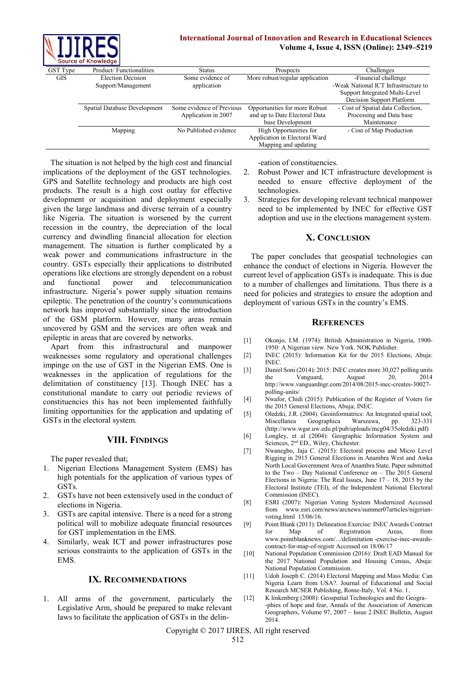

#### **International Journal of Innovation and Research in Educational Sciences Volume 4, Issue 4, ISSN (Online): 2349–5219**

|                 | Source of Knowledge          |                           |                                 |                                      |
|-----------------|------------------------------|---------------------------|---------------------------------|--------------------------------------|
| <b>GST</b> Type | Product/Functionalities      | Status                    | <b>Prospects</b>                | Challenges                           |
| <b>GIS</b>      | <b>Election Decision</b>     | Some evidence of          | More robust/regular application | -Financial challenge                 |
|                 | Support/Management           | application               |                                 | -Weak National ICT Infrastructure to |
|                 |                              |                           |                                 | Support Integrated Multi-Level       |
|                 |                              |                           |                                 | Decision Support Platform            |
|                 | Spatial Database Development | Some evidence of Previous | Opportunities for more Robust   | - Cost of Spatial data Collection,   |
|                 |                              | Application in 2007       | and up to Date Electoral Data   | Processing and Data base             |
|                 |                              |                           | base Development                | Maintenance                          |
|                 | Mapping                      | No Published evidence     | High Opportunities for          | - Cost of Map Production             |
|                 |                              |                           | Application in Electoral Ward   |                                      |
|                 |                              |                           | Mapping and updating            |                                      |

The situation is not helped by the high cost and financial implications of the deployment of the GST technologies. GPS and Satellite technology and products are high cost products. The result is a high cost outlay for effective development or acquisition and deployment especially given the large landmass and diverse terrain of a country like Nigeria. The situation is worsened by the current recession in the country, the depreciation of the local currency and dwindling financial allocation for election management. The situation is further complicated by a weak power and communications infrastructure in the country. GSTs especially their applications to distributed operations like elections are strongly dependent on a robust and functional power and telecommunication infrastructure. Nigeria's power supply situation remains epileptic. The penetration of the country's communications network has improved substantially since the introduction of the GSM platform. However, many areas remain uncovered by GSM and the services are often weak and epileptic in areas that are covered by networks.

Apart from this infrastructural and manpower weaknesses some regulatory and operational challenges impinge on the use of GST in the Nigerian EMS. One is weaknesses in the application of regulations for the delimitation of constituency [13]. Though INEC has a constitutional mandate to carry out periodic reviews of constituencies this has not been implemented faithfully limiting opportunities for the application and updating of GSTs in the electoral system.

## **VIII. FINDINGS**

The paper revealed that;

- 1. Nigerian Elections Management System (EMS) has high potentials for the application of various types of GSTs.
- 2. GSTs have not been extensively used in the conduct of elections in Nigeria.
- 3. GSTs are capital intensive. There is a need for a strong political will to mobilize adequate financial resources for GST implementation in the EMS.
- 4. Similarly, weak ICT and power infrastructures pose serious constraints to the application of GSTs in the EMS.

## **IX. RECOMMENDATIONS**

All arms of the government, particularly the Legislative Arm, should be prepared to make relevant laws to facilitate the application of GSTs in the delin-eation of constituencies.

- 2. Robust Power and ICT infrastructure development is needed to ensure effective deployment of the technologies.
- 3. Strategies for developing relevant technical manpower need to be implemented by INEC for effective GST adoption and use in the elections management system.

## **X. CONCLUSION**

The paper concludes that geospatial technologies can enhance the conduct of elections in Nigeria. However the current level of application GSTs is inadequate. This is due to a number of challenges and limitations. Thus there is a need for policies and strategies to ensure the adoption and deployment of various GSTs in the country's EMS.

#### **REFERENCES**

- [1] Okonjo, I.M. (1974): British Administration in Nigeria, 1900- 1950: A Nigerian view. New York. NOK Publisher.
- [2] INEC (2015): Information Kit for the 2015 Elections, Abuja: INEC.
- [3] Daniel Soni (2014): 2015: INEC creates more 30,027 polling units the Vanguard, August 20, 2014 http://www.vanguardngr.com/2014/08/2015-inec-creates-30027 polling-units/
- [4] Nwafor, Chidi (2015): Publication of the Register of Voters for the 2015 General Elections, Abuja; INEC.
- [5] Oledzki, J.R. (2004). Geoinformatrics: An Integrated spatial tool, Miscellanea Geographica Warszawa, pp. 323-331 (http://www.wgsr.uw.edu.pl/pub/uploads/mcg04/35oledzki.pdf)
- [6] Longley, et al (2004): Geographic Information System and Sciences, 2<sup>nd</sup> ED., Wiley, Chichester.
- [7] Nwanegbo, Jaja C. (2015): Electoral process and Micro Level Rigging in 2915 General Elections in Anambra West and Awka North Local Government Area of Anambra State, Paper submitted to the Two – Day National Conference on – The 2015 General Elections in Nigeria: The Real Issues, June  $17 - 18$ , 2015 by the Electoral Institute (TEI), of the Independent National Electoral Commission (INEC).
- [8] ESRI (2007): Nigerian Voting System Modernized Accessed from [www.esri.com/news/arcnews/summer07articles/nigerian](http://www.esri.com/news/arcnews/summer07articles/nigerian-voting.html)[voting.html](http://www.esri.com/news/arcnews/summer07articles/nigerian-voting.html) 15/06/16.
- [9] Point Blank (2013): Delineation Exercise: INEC Awards Contract for Map of Registration Areas, from [www.pointblanknews.com/.../delimitation -exercise-inec-awards](http://www.pointblanknews.com/.../delimitation%20-exercise-inec-awards-contract-for-map-of-registr%20Accessed%20on%2018/06/17)[contract-for-map-of-registr Accessed on 18/06/17](http://www.pointblanknews.com/.../delimitation%20-exercise-inec-awards-contract-for-map-of-registr%20Accessed%20on%2018/06/17)
- [10] National Population Commission (2016): Draft EAD Manual for the 2017 National Population and Housing Census, Abuja: National Population Commission.
- [11] Udoh Joseph C. (2014) Electoral Mapping and Mass Media: Can Nigeria Learn from USA?. Journal of Educational and Social Research MCSER Publishing, Rome-Italy, Vol. 4 No. 1.
- [12] K linkenberg (2008): Geospatial Technologies and the Geogra- -phies of hope and fear, Annals of the Association of American Geographers, Volume 97, 2007 – Issue 2.INEC Bulletin, August 2014.